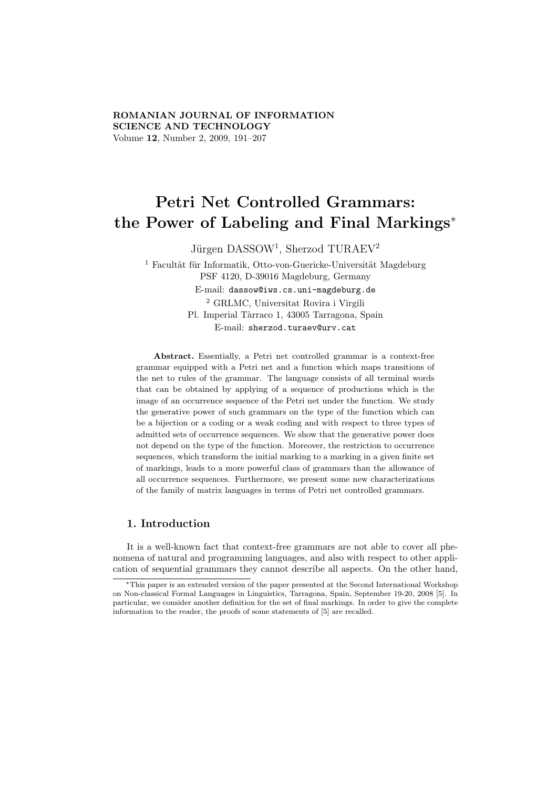# ROMANIAN JOURNAL OF INFORMATION SCIENCE AND TECHNOLOGY Volume 12, Number 2, 2009, 191–207

# Petri Net Controlled Grammars: the Power of Labeling and Final Markings<sup>∗</sup>

Jürgen DASSOW<sup>1</sup>, Sherzod TURAEV<sup>2</sup>

 $1$  Facultät für Informatik, Otto-von-Guericke-Universität Magdeburg PSF 4120, D-39016 Magdeburg, Germany E-mail: dassow@iws.cs.uni-magdeburg.de <sup>2</sup> GRLMC, Universitat Rovira i Virgili Pl. Imperial Tàrraco 1, 43005 Tarragona, Spain E-mail: sherzod.turaev@urv.cat

Abstract. Essentially, a Petri net controlled grammar is a context-free grammar equipped with a Petri net and a function which maps transitions of the net to rules of the grammar. The language consists of all terminal words that can be obtained by applying of a sequence of productions which is the image of an occurrence sequence of the Petri net under the function. We study the generative power of such grammars on the type of the function which can be a bijection or a coding or a weak coding and with respect to three types of admitted sets of occurrence sequences. We show that the generative power does not depend on the type of the function. Moreover, the restriction to occurrence sequences, which transform the initial marking to a marking in a given finite set of markings, leads to a more powerful class of grammars than the allowance of all occurrence sequences. Furthermore, we present some new characterizations of the family of matrix languages in terms of Petri net controlled grammars.

# 1. Introduction

It is a well-known fact that context-free grammars are not able to cover all phenomena of natural and programming languages, and also with respect to other application of sequential grammars they cannot describe all aspects. On the other hand,

<sup>∗</sup>This paper is an extended version of the paper presented at the Second International Workshop on Non-classical Formal Languages in Linguistics, Tarragona, Spain, September 19-20, 2008 [5]. In particular, we consider another definition for the set of final markings. In order to give the complete information to the reader, the proofs of some statements of [5] are recalled.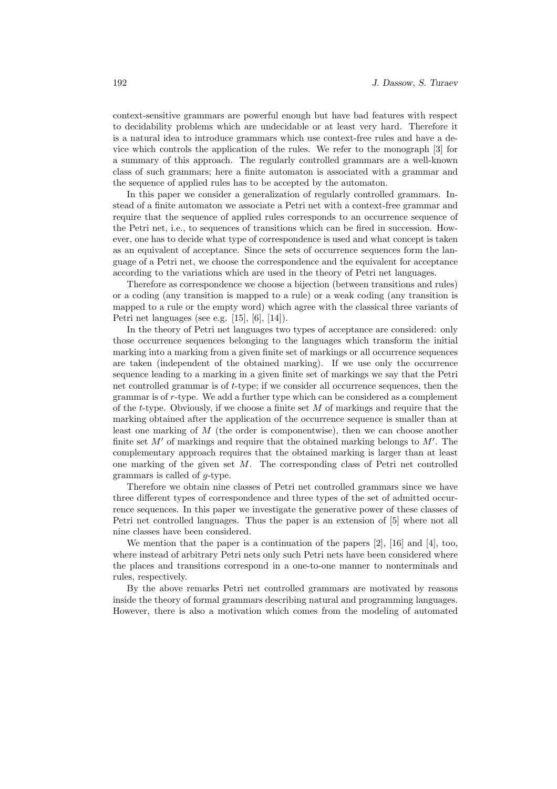context-sensitive grammars are powerful enough but have bad features with respect to decidability problems which are undecidable or at least very hard. Therefore it is a natural idea to introduce grammars which use context-free rules and have a device which controls the application of the rules. We refer to the monograph [3] for a summary of this approach. The regularly controlled grammars are a well-known class of such grammars; here a finite automaton is associated with a grammar and the sequence of applied rules has to be accepted by the automaton.

In this paper we consider a generalization of regularly controlled grammars. Instead of a finite automaton we associate a Petri net with a context-free grammar and require that the sequence of applied rules corresponds to an occurrence sequence of the Petri net, i.e., to sequences of transitions which can be fired in succession. However, one has to decide what type of correspondence is used and what concept is taken as an equivalent of acceptance. Since the sets of occurrence sequences form the language of a Petri net, we choose the correspondence and the equivalent for acceptance according to the variations which are used in the theory of Petri net languages.

Therefore as correspondence we choose a bijection (between transitions and rules) or a coding (any transition is mapped to a rule) or a weak coding (any transition is mapped to a rule or the empty word) which agree with the classical three variants of Petri net languages (see e.g. [15], [6], [14]).

In the theory of Petri net languages two types of acceptance are considered: only those occurrence sequences belonging to the languages which transform the initial marking into a marking from a given finite set of markings or all occurrence sequences are taken (independent of the obtained marking). If we use only the occurrence sequence leading to a marking in a given finite set of markings we say that the Petri net controlled grammar is of t-type; if we consider all occurrence sequences, then the grammar is of r-type. We add a further type which can be considered as a complement of the t-type. Obviously, if we choose a finite set  $M$  of markings and require that the marking obtained after the application of the occurrence sequence is smaller than at least one marking of M (the order is componentwise), then we can choose another finite set  $M'$  of markings and require that the obtained marking belongs to  $M'$ . The complementary approach requires that the obtained marking is larger than at least one marking of the given set M. The corresponding class of Petri net controlled grammars is called of g-type.

Therefore we obtain nine classes of Petri net controlled grammars since we have three different types of correspondence and three types of the set of admitted occurrence sequences. In this paper we investigate the generative power of these classes of Petri net controlled languages. Thus the paper is an extension of [5] where not all nine classes have been considered.

We mention that the paper is a continuation of the papers  $[2]$ ,  $[16]$  and  $[4]$ , too, where instead of arbitrary Petri nets only such Petri nets have been considered where the places and transitions correspond in a one-to-one manner to nonterminals and rules, respectively.

By the above remarks Petri net controlled grammars are motivated by reasons inside the theory of formal grammars describing natural and programming languages. However, there is also a motivation which comes from the modeling of automated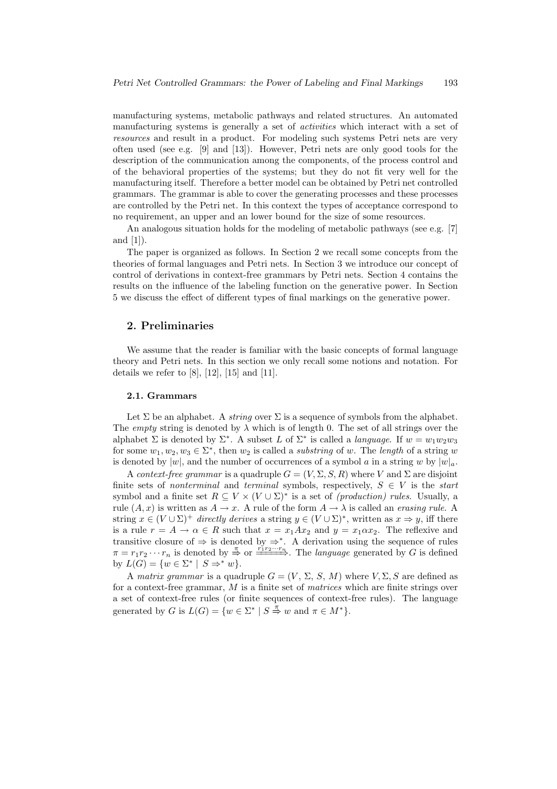manufacturing systems, metabolic pathways and related structures. An automated manufacturing systems is generally a set of activities which interact with a set of resources and result in a product. For modeling such systems Petri nets are very often used (see e.g. [9] and [13]). However, Petri nets are only good tools for the description of the communication among the components, of the process control and of the behavioral properties of the systems; but they do not fit very well for the manufacturing itself. Therefore a better model can be obtained by Petri net controlled grammars. The grammar is able to cover the generating processes and these processes are controlled by the Petri net. In this context the types of acceptance correspond to no requirement, an upper and an lower bound for the size of some resources.

An analogous situation holds for the modeling of metabolic pathways (see e.g. [7] and [1]).

The paper is organized as follows. In Section 2 we recall some concepts from the theories of formal languages and Petri nets. In Section 3 we introduce our concept of control of derivations in context-free grammars by Petri nets. Section 4 contains the results on the influence of the labeling function on the generative power. In Section 5 we discuss the effect of different types of final markings on the generative power.

# 2. Preliminaries

We assume that the reader is familiar with the basic concepts of formal language theory and Petri nets. In this section we only recall some notions and notation. For details we refer to  $[8]$ ,  $[12]$ ,  $[15]$  and  $[11]$ .

#### 2.1. Grammars

Let  $\Sigma$  be an alphabet. A *string* over  $\Sigma$  is a sequence of symbols from the alphabet. The empty string is denoted by  $\lambda$  which is of length 0. The set of all strings over the alphabet  $\Sigma$  is denoted by  $\Sigma^*$ . A subset L of  $\Sigma^*$  is called a *language*. If  $w = w_1w_2w_3$ for some  $w_1, w_2, w_3 \in \Sigma^*$ , then  $w_2$  is called a *substring* of w. The *length* of a string w is denoted by  $|w|$ , and the number of occurrences of a symbol a in a string w by  $|w|_a$ .

A context-free grammar is a quadruple  $G = (V, \Sigma, S, R)$  where V and  $\Sigma$  are disjoint finite sets of nonterminal and terminal symbols, respectively,  $S \in V$  is the start symbol and a finite set  $R \subseteq V \times (V \cup \Sigma)^*$  is a set of *(production) rules*. Usually, a rule  $(A, x)$  is written as  $A \to x$ . A rule of the form  $A \to \lambda$  is called an erasing rule. A string  $x \in (V \cup \Sigma)^+$  directly derives a string  $y \in (V \cup \Sigma)^*$ , written as  $x \Rightarrow y$ , iff there is a rule  $r = A \rightarrow \alpha \in R$  such that  $x = x_1 A x_2$  and  $y = x_1 \alpha x_2$ . The reflexive and transitive closure of  $\Rightarrow$  is denoted by  $\Rightarrow^*$ . A derivation using the sequence of rules  $\pi = r_1 r_2 \cdots r_n$  is denoted by  $\stackrel{\pi}{\Rightarrow}$  or  $\stackrel{r_1 r_2 \cdots r_n}{\longrightarrow}$ . The *language* generated by G is defined by  $L(G) = \{w \in \Sigma^* \mid S \Rightarrow^* w\}.$ 

A matrix grammar is a quadruple  $G = (V, \Sigma, S, M)$  where  $V, \Sigma, S$  are defined as for a context-free grammar, M is a finite set of *matrices* which are finite strings over a set of context-free rules (or finite sequences of context-free rules). The language generated by G is  $L(G) = \{w \in \Sigma^* \mid S \stackrel{\pi}{\Rightarrow} w \text{ and } \pi \in M^*\}.$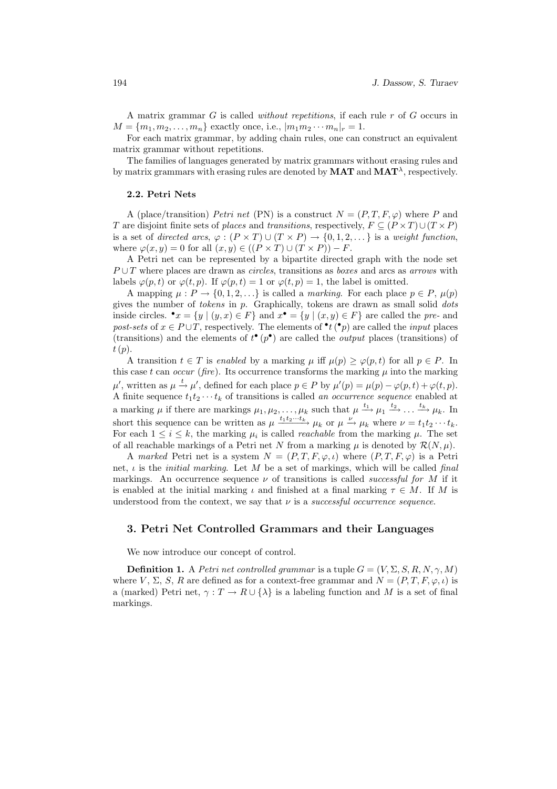A matrix grammar G is called without repetitions, if each rule r of G occurs in  $M = \{m_1, m_2, \ldots, m_n\}$  exactly once, i.e.,  $|m_1 m_2 \cdots m_n|_r = 1$ .

For each matrix grammar, by adding chain rules, one can construct an equivalent matrix grammar without repetitions.

The families of languages generated by matrix grammars without erasing rules and by matrix grammars with erasing rules are denoted by  $\text{MAT}$  and  $\text{MAT}^{\lambda}$ , respectively.

#### 2.2. Petri Nets

A (place/transition) Petri net (PN) is a construct  $N = (P, T, F, \varphi)$  where P and T are disjoint finite sets of places and transitions, respectively,  $F \subseteq (P \times T) \cup (T \times P)$ is a set of directed arcs,  $\varphi : (P \times T) \cup (T \times P) \rightarrow \{0, 1, 2, \dots\}$  is a weight function, where  $\varphi(x, y) = 0$  for all  $(x, y) \in ((P \times T) \cup (T \times P)) - F$ .

A Petri net can be represented by a bipartite directed graph with the node set  $P \cup T$  where places are drawn as *circles*, transitions as *boxes* and arcs as *arrows* with labels  $\varphi(p, t)$  or  $\varphi(t, p)$ . If  $\varphi(p, t) = 1$  or  $\varphi(t, p) = 1$ , the label is omitted.

A mapping  $\mu : P \to \{0, 1, 2, \ldots\}$  is called a *marking*. For each place  $p \in P$ ,  $\mu(p)$ gives the number of tokens in p. Graphically, tokens are drawn as small solid dots inside circles.  $\bullet x = \{y \mid (y, x) \in F\}$  and  $x \bullet = \{y \mid (x, y) \in F\}$  are called the pre- and post-sets of  $x \in P \cup T$ , respectively. The elements of  $\mathbf{P}(P)$  are called the *input* places (transitions) and the elements of  $t^{\bullet}(p^{\bullet})$  are called the *output* places (transitions) of  $t(p)$ .

A transition  $t \in T$  is enabled by a marking  $\mu$  iff  $\mu(p) \geq \varphi(p, t)$  for all  $p \in P$ . In this case t can occur (fire). Its occurrence transforms the marking  $\mu$  into the marking  $\mu'$ , written as  $\mu \xrightarrow{t} \mu'$ , defined for each place  $p \in P$  by  $\mu'(p) = \mu(p) - \varphi(p, t) + \varphi(t, p)$ . A finite sequence  $t_1t_2 \cdots t_k$  of transitions is called an occurrence sequence enabled at a marking  $\mu$  if there are markings  $\mu_1, \mu_2, \ldots, \mu_k$  such that  $\mu \stackrel{t_1}{\longrightarrow} \mu_1 \stackrel{t_2}{\longrightarrow} \ldots \stackrel{t_k}{\longrightarrow} \mu_k$ . In short this sequence can be written as  $\mu \xrightarrow{t_1t_2\cdots t_k} \mu_k$  or  $\mu \xrightarrow{\nu} \mu_k$  where  $\nu = t_1t_2\cdots t_k$ . For each  $1 \leq i \leq k$ , the marking  $\mu_i$  is called *reachable* from the marking  $\mu$ . The set of all reachable markings of a Petri net N from a marking  $\mu$  is denoted by  $\mathcal{R}(N,\mu)$ .

A marked Petri net is a system  $N = (P, T, F, \varphi, \iota)$  where  $(P, T, F, \varphi)$  is a Petri net,  $\iota$  is the *initial marking*. Let M be a set of markings, which will be called *final* markings. An occurrence sequence  $\nu$  of transitions is called *successful for M* if it is enabled at the initial marking  $\iota$  and finished at a final marking  $\tau \in M$ . If M is understood from the context, we say that  $\nu$  is a *successful occurrence sequence*.

## 3. Petri Net Controlled Grammars and their Languages

We now introduce our concept of control.

**Definition 1.** A Petri net controlled grammar is a tuple  $G = (V, \Sigma, S, R, N, \gamma, M)$ where V,  $\Sigma$ , S, R are defined as for a context-free grammar and  $N = (P, T, F, \varphi, \iota)$  is a (marked) Petri net,  $\gamma: T \to R \cup {\{\lambda\}}$  is a labeling function and M is a set of final markings.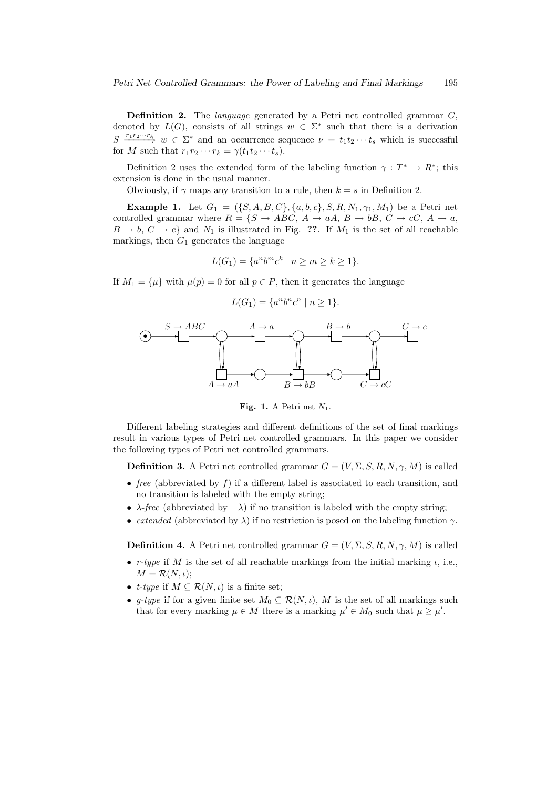Definition 2. The *language* generated by a Petri net controlled grammar G, denoted by  $L(G)$ , consists of all strings  $w \in \Sigma^*$  such that there is a derivation  $S \longrightarrow_{w \in \Sigma^*} w \in \Sigma^*$  and an occurrence sequence  $\nu = t_1 t_2 \cdots t_s$  which is successful for M such that  $r_1r_2\cdots r_k = \gamma(t_1t_2\cdots t_s)$ .

Definition 2 uses the extended form of the labeling function  $\gamma : T^* \to R^*$ ; this extension is done in the usual manner.

Obviously, if  $\gamma$  maps any transition to a rule, then  $k = s$  in Definition 2.

**Example 1.** Let  $G_1 = (\{S, A, B, C\}, \{a, b, c\}, S, R, N_1, \gamma_1, M_1)$  be a Petri net controlled grammar where  $R = \{S \rightarrow ABC, A \rightarrow aA, B \rightarrow bB, C \rightarrow cC, A \rightarrow a,$  $B \to b, C \to c$  and  $N_1$  is illustrated in Fig. ??. If  $M_1$  is the set of all reachable markings, then  $G_1$  generates the language

$$
L(G_1) = \{a^n b^m c^k \mid n \ge m \ge k \ge 1\}.
$$

If  $M_1 = {\mu}$  with  $\mu(p) = 0$  for all  $p \in P$ , then it generates the language

$$
L(G_1) = \{a^n b^n c^n \mid n \ge 1\}.
$$



Fig. 1. A Petri net  $N_1$ .

Different labeling strategies and different definitions of the set of final markings result in various types of Petri net controlled grammars. In this paper we consider the following types of Petri net controlled grammars.

**Definition 3.** A Petri net controlled grammar  $G = (V, \Sigma, S, R, N, \gamma, M)$  is called

- free (abbreviated by  $f$ ) if a different label is associated to each transition, and no transition is labeled with the empty string;
- $\lambda$ -free (abbreviated by  $-\lambda$ ) if no transition is labeled with the empty string;
- extended (abbreviated by  $\lambda$ ) if no restriction is posed on the labeling function  $\gamma$ .

**Definition 4.** A Petri net controlled grammar  $G = (V, \Sigma, S, R, N, \gamma, M)$  is called

- r-type if M is the set of all reachable markings from the initial marking  $\iota$ , i.e.,  $M = \mathcal{R}(N, \iota);$
- *t-type* if  $M \subseteq \mathcal{R}(N, \iota)$  is a finite set;
- g-type if for a given finite set  $M_0 \subseteq \mathcal{R}(N, \iota)$ , M is the set of all markings such that for every marking  $\mu \in M$  there is a marking  $\mu' \in M_0$  such that  $\mu \geq \mu'$ .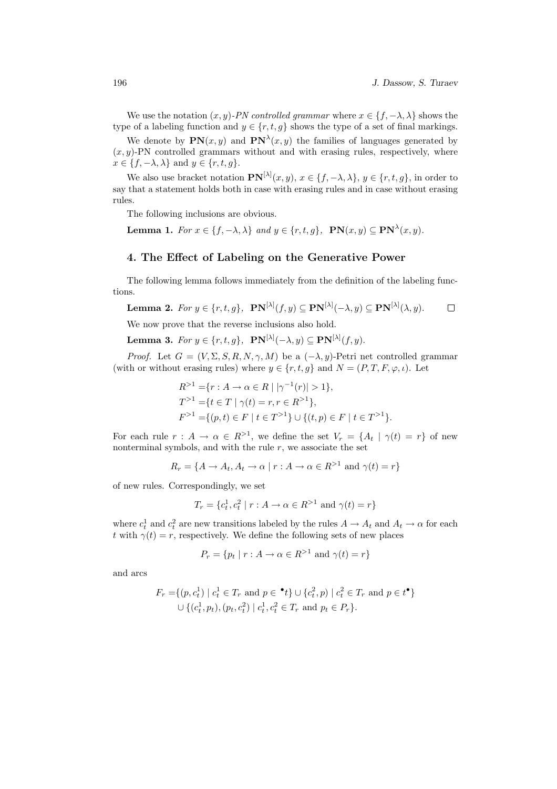We use the notation  $(x, y)$ -PN controlled grammar where  $x \in \{f, -\lambda, \lambda\}$  shows the type of a labeling function and  $y \in \{r, t, g\}$  shows the type of a set of final markings.

We denote by  $\mathbf{PN}(x, y)$  and  $\mathbf{PN}^{\lambda}(x, y)$  the families of languages generated by  $(x, y)$ -PN controlled grammars without and with erasing rules, respectively, where  $x \in \{f, -\lambda, \lambda\}$  and  $y \in \{r, t, g\}.$ 

We also use bracket notation  $\mathbf{PN}^{[\lambda]}(x,y), x \in \{f, -\lambda, \lambda\}, y \in \{r, t, g\},$  in order to say that a statement holds both in case with erasing rules and in case without erasing rules.

The following inclusions are obvious.

**Lemma 1.** For  $x \in \{f, -\lambda, \lambda\}$  and  $y \in \{r, t, g\}$ ,  $PN(x, y) \subseteq PN^{\lambda}(x, y)$ .

## 4. The Effect of Labeling on the Generative Power

The following lemma follows immediately from the definition of the labeling functions.

**Lemma 2.** For 
$$
y \in \{r, t, g\}
$$
,  $\mathbf{PN}^{[\lambda]}(f, y) \subseteq \mathbf{PN}^{[\lambda]}(-\lambda, y) \subseteq \mathbf{PN}^{[\lambda]}(\lambda, y)$ .  $\square$ 

We now prove that the reverse inclusions also hold.

**Lemma 3.** For  $y \in \{r, t, g\}$ ,  $\mathbf{PN}^{[\lambda]}(-\lambda, y) \subseteq \mathbf{PN}^{[\lambda]}(f, y)$ .

*Proof.* Let  $G = (V, \Sigma, S, R, N, \gamma, M)$  be a  $(-\lambda, y)$ -Petri net controlled grammar (with or without erasing rules) where  $y \in \{r, t, g\}$  and  $N = (P, T, F, \varphi, \iota)$ . Let

$$
R^{>1} = \{r : A \to \alpha \in R \mid |\gamma^{-1}(r)| > 1\},\
$$
  
\n
$$
T^{>1} = \{t \in T \mid \gamma(t) = r, r \in R^{>1}\},\
$$
  
\n
$$
F^{>1} = \{(p, t) \in F \mid t \in T^{>1}\} \cup \{(t, p) \in F \mid t \in T^{>1}\}.
$$

For each rule  $r: A \to \alpha \in R^{>1}$ , we define the set  $V_r = \{A_t | \gamma(t) = r\}$  of new nonterminal symbols, and with the rule  $r$ , we associate the set

$$
R_r = \{ A \to A_t, A_t \to \alpha \mid r : A \to \alpha \in R^{>1} \text{ and } \gamma(t) = r \}
$$

of new rules. Correspondingly, we set

$$
T_r = \{c_t^1, c_t^2 \mid r : A \to \alpha \in R^{>1} \text{ and } \gamma(t) = r\}
$$

where  $c_t^1$  and  $c_t^2$  are new transitions labeled by the rules  $A \to A_t$  and  $A_t \to \alpha$  for each t with  $\gamma(t) = r$ , respectively. We define the following sets of new places

$$
P_r = \{ p_t \mid r : A \to \alpha \in R^{>1} \text{ and } \gamma(t) = r \}
$$

and arcs

$$
F_r = \{(p, c_t^1) \mid c_t^1 \in T_r \text{ and } p \in \text{'}t\} \cup \{c_t^2, p) \mid c_t^2 \in T_r \text{ and } p \in t^{\bullet}\}\
$$
  

$$
\cup \{ (c_t^1, p_t), (p_t, c_t^2) \mid c_t^1, c_t^2 \in T_r \text{ and } p_t \in P_r \}.
$$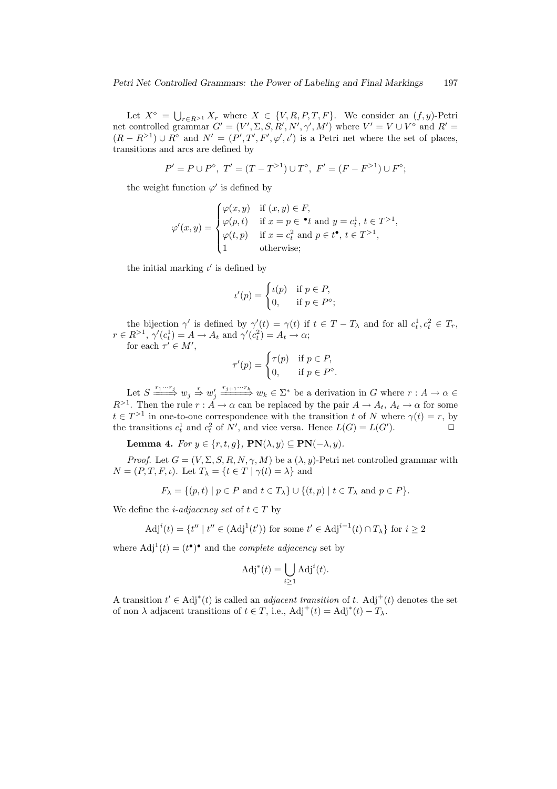Let  $X^{\diamond} = \bigcup_{r \in R^{>1}} X_r$  where  $X \in \{V, R, P, T, F\}$ . We consider an  $(f, y)$ -Petri net controlled grammar  $G' = (V', \Sigma, S, R', N', \gamma', M')$  where  $V' = V \cup V^{\diamond}$  and  $R' =$  $(R - R^{>1}) \cup R^{\diamond}$  and  $N' = (P', T', F', \varphi', \iota')$  is a Petri net where the set of places, transitions and arcs are defined by

$$
P'=P\cup P^{\diamond},\,\,T'=(T-T^{>1})\cup T^{\diamond},\,\,F'=(F-F^{>1})\cup F^{\diamond};
$$

the weight function  $\varphi'$  is defined by

$$
\varphi'(x,y) = \begin{cases}\n\varphi(x,y) & \text{if } (x,y) \in F, \\
\varphi(p,t) & \text{if } x = p \in \mathbf{e} \text{ and } y = c_t^1, t \in T^{>1}, \\
\varphi(t,p) & \text{if } x = c_t^2 \text{ and } p \in t^{\bullet}, t \in T^{>1}, \\
1 & \text{otherwise;} \n\end{cases}
$$

the initial marking  $\iota'$  is defined by

$$
\iota'(p) = \begin{cases} \iota(p) & \text{if } p \in P, \\ 0, & \text{if } p \in P^{\diamond}; \end{cases}
$$

the bijection  $\gamma'$  is defined by  $\gamma'(t) = \gamma(t)$  if  $t \in T - T_{\lambda}$  and for all  $c_t^1, c_t^2 \in T_r$ ,  $r \in R^{>1}, \gamma'(c_t^1) = A \to A_t \text{ and } \gamma'(c_t^2) = A_t \to \alpha;$ 

for each  $\tau' \in M'$ ,

$$
\tau'(p) = \begin{cases} \tau(p) & \text{if } p \in P, \\ 0, & \text{if } p \in P^\diamond. \end{cases}
$$

Let  $S \longrightarrow^{\frac{r_1 \cdots r_j}{\longrightarrow}} w_j \longrightarrow^{\frac{r_j}{\longrightarrow} \frac{r_{j+1} \cdots r_k}{\longrightarrow}} w_k \in \Sigma^*$  be a derivation in G where  $r : A \to \alpha$  $R^{>1}$ . Then the rule  $r : A \to \alpha$  can be replaced by the pair  $A \to A_t$ ,  $A_t \to \alpha$  for some  $t \in T^{>1}$  in one-to-one correspondence with the transition t of N where  $\gamma(t) = r$ , by the transitions  $c_t^1$  and  $c_t^2$  of N', and vice versa. Hence  $L(G) = L(G')$ .

Lemma 4. For  $y \in \{r, t, g\}$ ,  $PN(\lambda, y) \subseteq PN(-\lambda, y)$ .

*Proof.* Let  $G = (V, \Sigma, S, R, N, \gamma, M)$  be a  $(\lambda, y)$ -Petri net controlled grammar with  $N = (P, T, F, \iota)$ . Let  $T_{\lambda} = \{t \in T \mid \gamma(t) = \lambda\}$  and

$$
F_{\lambda} = \{(p, t) \mid p \in P \text{ and } t \in T_{\lambda}\} \cup \{(t, p) \mid t \in T_{\lambda} \text{ and } p \in P\}.
$$

We define the *i-adjacency set* of  $t \in T$  by

$$
\text{Adj}^i(t) = \{ t'' \mid t'' \in (\text{Adj}^1(t')) \text{ for some } t' \in \text{Adj}^{i-1}(t) \cap T_{\lambda} \} \text{ for } i \ge 2
$$

where  $\text{Adj}^1(t) = (t^{\bullet})^{\bullet}$  and the *complete adjacency* set by

$$
\mathrm{Adj}^*(t) = \bigcup_{i \ge 1} \mathrm{Adj}^i(t).
$$

A transition  $t' \in \text{Adj}^*(t)$  is called an *adjacent transition* of t. Adj<sup>+</sup>(t) denotes the set of non  $\lambda$  adjacent transitions of  $t \in T$ , i.e.,  $\text{Adj}^+(t) = \text{Adj}^*(t) - T_{\lambda}$ .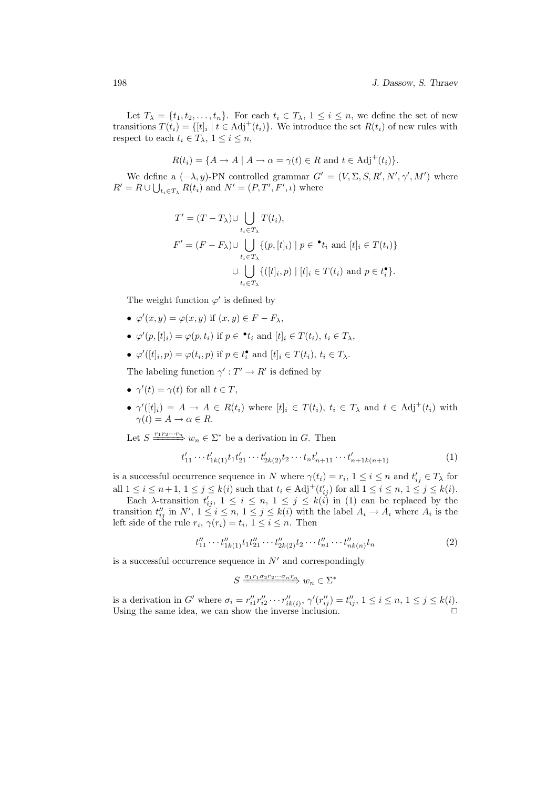Let  $T_{\lambda} = \{t_1, t_2, \ldots, t_n\}$ . For each  $t_i \in T_{\lambda}, 1 \leq i \leq n$ , we define the set of new transitions  $T(t_i) = \{ [t]_i \mid t \in \text{Adj}^+(t_i) \}.$  We introduce the set  $R(t_i)$  of new rules with respect to each  $t_i \in T_\lambda$ ,  $1 \leq i \leq n$ ,

$$
R(t_i) = \{ A \to A \mid A \to \alpha = \gamma(t) \in R \text{ and } t \in \text{Adj}^+(t_i) \}.
$$

We define a  $(-\lambda, y)$ -PN controlled grammar  $G' = (V, \Sigma, S, R', N', \gamma', M')$  where  $R' = R \cup \bigcup_{t_i \in T_{\lambda}} R(t_i)$  and  $N' = (P, T', F', \iota)$  where

$$
T' = (T - T_{\lambda}) \cup \bigcup_{t_i \in T_{\lambda}} T(t_i),
$$
  
\n
$$
F' = (F - F_{\lambda}) \cup \bigcup_{t_i \in T_{\lambda}} \{ (p, [t]_i) \mid p \in \bullet t_i \text{ and } [t]_i \in T(t_i) \}
$$
  
\n
$$
\cup \bigcup_{t_i \in T_{\lambda}} \{ ([t]_i, p) \mid [t]_i \in T(t_i) \text{ and } p \in t_i^{\bullet} \}.
$$

The weight function  $\varphi'$  is defined by

- $\varphi'(x, y) = \varphi(x, y)$  if  $(x, y) \in F F_{\lambda}$ ,
- $\varphi'(p,[t]_i) = \varphi(p,t_i)$  if  $p \in \mathbf{t}_i$  and  $[t]_i \in T(t_i), t_i \in T_\lambda$ ,
- $\varphi'([t]_i, p) = \varphi(t_i, p)$  if  $p \in t_i^{\bullet}$  and  $[t]_i \in T(t_i), t_i \in T_{\lambda}$ .

The labeling function  $\gamma': T' \to R'$  is defined by

- $\gamma'(t) = \gamma(t)$  for all  $t \in T$ ,
- $\gamma'([t]_i) = A \to A \in R(t_i)$  where  $[t]_i \in T(t_i)$ ,  $t_i \in T_\lambda$  and  $t \in Adj^+(t_i)$  with  $\gamma(t) = A \rightarrow \alpha \in R$ .

Let  $S \longrightarrow^{\underline{r_1 r_2 \cdots r_n}} w_n \in \Sigma^*$  be a derivation in G. Then

$$
t'_{11} \cdots t'_{1k(1)} t_1 t'_{21} \cdots t'_{2k(2)} t_2 \cdots t_n t'_{n+11} \cdots t'_{n+1k(n+1)}
$$
\n
$$
\tag{1}
$$

is a successful occurrence sequence in N where  $\gamma(t_i) = r_i, 1 \leq i \leq n$  and  $t'_{ij} \in T_\lambda$  for all  $1 \leq i \leq n+1, 1 \leq j \leq k(i)$  such that  $t_i \in \text{Adj}^+(t'_{ij})$  for all  $1 \leq i \leq n, 1 \leq j \leq k(i)$ .

Each  $\lambda$ -transition  $t'_{ij}$ ,  $1 \leq i \leq n, 1 \leq j \leq k(i)$  in (1) can be replaced by the transition  $t''_{ij}$  in  $N'$ ,  $1 \le i \le n$ ,  $1 \le j \le k(i)$  with the label  $A_i \to A_i$  where  $A_i$  is the left side of the rule  $r_i$ ,  $\gamma(r_i) = t_i$ ,  $1 \leq i \leq n$ . Then

$$
t''_{11} \cdots t''_{1k(1)} t_1 t''_{21} \cdots t''_{2k(2)} t_2 \cdots t''_{n1} \cdots t''_{nk(n)} t_n \tag{2}
$$

is a successful occurrence sequence in  $N'$  and correspondingly

$$
S \xrightarrow{\sigma_1 r_1 \sigma_2 r_2 \cdots \sigma_n r_n} w_n \in \Sigma^*
$$

is a derivation in G' where  $\sigma_i = r''_{i1} r''_{i2} \cdots r''_{ik(i)}$ ,  $\gamma'(r''_{ij}) = t''_{ij}$ ,  $1 \le i \le n, 1 \le j \le k(i)$ . Using the same idea, we can show the inverse inclusion.  $\Box$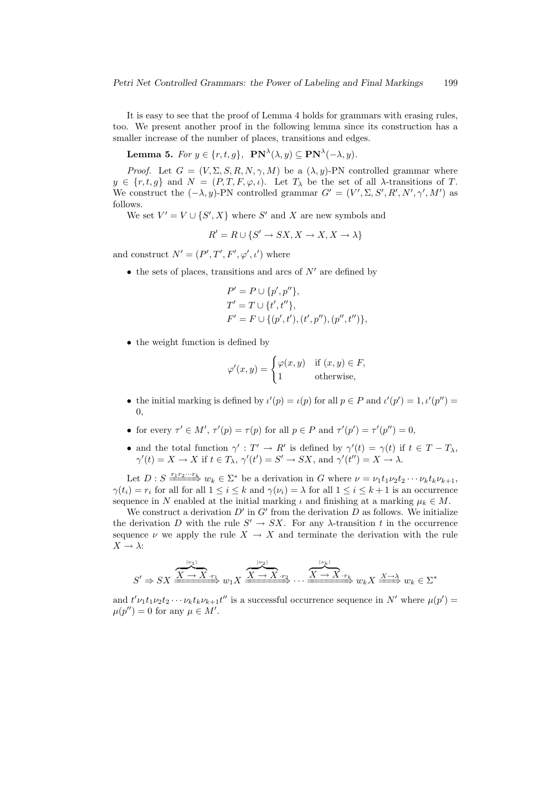It is easy to see that the proof of Lemma 4 holds for grammars with erasing rules, too. We present another proof in the following lemma since its construction has a smaller increase of the number of places, transitions and edges.

**Lemma 5.** For  $y \in \{r, t, g\}$ ,  $\mathbf{PN}^{\lambda}(\lambda, y) \subseteq \mathbf{PN}^{\lambda}(-\lambda, y)$ .

*Proof.* Let  $G = (V, \Sigma, S, R, N, \gamma, M)$  be a  $(\lambda, y)$ -PN controlled grammar where  $y \in \{r, t, g\}$  and  $N = (P, T, F, \varphi, \iota)$ . Let  $T_{\lambda}$  be the set of all  $\lambda$ -transitions of T. We construct the  $(-\lambda, y)$ -PN controlled grammar  $G' = (V', \Sigma, S', R', N', \gamma', M')$  as follows.

We set  $V' = V \cup \{S', X\}$  where S' and X are new symbols and

$$
R' = R \cup \{S' \to SX, X \to X, X \to \lambda\}
$$

and construct  $N' = (P', T', F', \varphi', \iota')$  where

• the sets of places, transitions and arcs of  $N'$  are defined by

$$
P' = P \cup \{p', p''\},
$$
  
\n
$$
T' = T \cup \{t', t''\},
$$
  
\n
$$
F' = F \cup \{(p', t'), (t', p''), (p'', t'')\},
$$

• the weight function is defined by

$$
\varphi'(x, y) = \begin{cases} \varphi(x, y) & \text{if } (x, y) \in F, \\ 1 & \text{otherwise,} \end{cases}
$$

- the initial marking is defined by  $\iota'(p) = \iota(p)$  for all  $p \in P$  and  $\iota'(p') = 1, \iota'(p'') = 1$ 0,
- for every  $\tau' \in M'$ ,  $\tau'(p) = \tau(p)$  for all  $p \in P$  and  $\tau'(p') = \tau'(p'') = 0$ ,
- and the total function  $\gamma': T' \to R'$  is defined by  $\gamma'(t) = \gamma(t)$  if  $t \in T T_{\lambda}$ ,  $\gamma'(t) = X \to X$  if  $t \in T_\lambda$ ,  $\gamma'(t') = S' \to SX$ , and  $\gamma'(t'') = X \to \lambda$ .

Let  $D: S \xrightarrow{r_1 r_2 \cdots r_k} w_k \in \Sigma^*$  be a derivation in G where  $\nu = \nu_1 t_1 \nu_2 t_2 \cdots \nu_k t_k \nu_{k+1}$ ,  $\gamma(t_i) = r_i$  for all for all  $1 \leq i \leq k$  and  $\gamma(\nu_i) = \lambda$  for all  $1 \leq i \leq k+1$  is an occurrence sequence in N enabled at the initial marking  $\iota$  and finishing at a marking  $\mu_k \in M$ .

We construct a derivation  $D'$  in  $G'$  from the derivation  $D$  as follows. We initialize the derivation D with the rule  $S' \to SX$ . For any  $\lambda$ -transition t in the occurrence sequence  $\nu$  we apply the rule  $X \to X$  and terminate the derivation with the rule  $X \to \lambda$ :

$$
S' \Rightarrow SX \xrightarrow{\overbrace{X \to X \cdot r_1}^{|\nu_1|}} w_1 X \xrightarrow{\overbrace{X \to X \cdot r_2}^{|\nu_2|}} \cdots \xrightarrow{\overbrace{X \to X \cdot r_k}^{|\nu_k|}} w_k X \xrightarrow{\overbrace{X \to \lambda}^{N}} w_k \in \Sigma^*
$$

and  $t'\nu_1t_1\nu_2t_2\cdots\nu_kt_k\nu_{k+1}t''$  is a successful occurrence sequence in N' where  $\mu(p')$  =  $\mu(p'') = 0$  for any  $\mu \in M'.$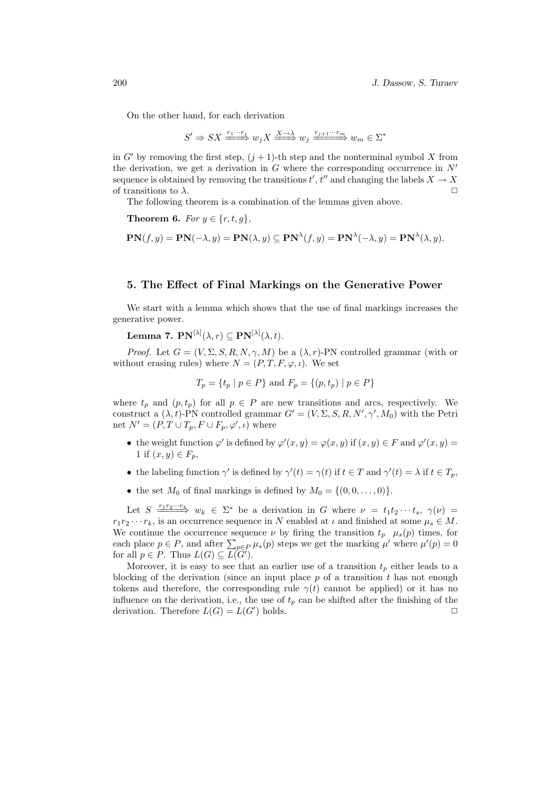On the other hand, for each derivation

$$
S' \Rightarrow SX \xrightarrow{r_1 \cdots r_j} w_j X \xrightarrow{X \to \lambda} w_j \xrightarrow{r_{j+1} \cdots r_m} w_m \in \Sigma^*
$$

in G' by removing the first step,  $(j + 1)$ -th step and the nonterminal symbol X from the derivation, we get a derivation in  $G$  where the corresponding occurrence in  $N'$ sequence is obtained by removing the transitions  $t'$ ,  $t''$  and changing the labels  $X \to X$ of transitions to  $\lambda$ .

The following theorem is a combination of the lemmas given above.

Theorem 6. For  $y \in \{r, t, g\},\$ 

$$
\mathbf{PN}(f,y) = \mathbf{PN}(-\lambda,y) = \mathbf{PN}(\lambda,y) \subseteq \mathbf{PN}^{\lambda}(f,y) = \mathbf{PN}^{\lambda}(-\lambda,y) = \mathbf{PN}^{\lambda}(\lambda,y).
$$

#### 5. The Effect of Final Markings on the Generative Power

We start with a lemma which shows that the use of final markings increases the generative power.

Lemma 7.  $\mathbf{PN}^{[\lambda]}(\lambda,r)\subseteq \mathbf{PN}^{[\lambda]}(\lambda,t).$ 

*Proof.* Let  $G = (V, \Sigma, S, R, N, \gamma, M)$  be a  $(\lambda, r)$ -PN controlled grammar (with or without erasing rules) where  $N = (P, T, F, \varphi, \iota)$ . We set

$$
T_p = \{t_p | p \in P\}
$$
 and  $F_p = \{(p, t_p) | p \in P\}$ 

where  $t_p$  and  $(p, t_p)$  for all  $p \in P$  are new transitions and arcs, respectively. We construct a  $(\lambda, t)$ -PN controlled grammar  $G' = (V, \Sigma, S, R, N', \gamma', M_0)$  with the Petri net  $N' = (P, T \cup T_p, F \cup F_p, \varphi', \iota)$  where

- the weight function  $\varphi'$  is defined by  $\varphi'(x, y) = \varphi(x, y)$  if  $(x, y) \in F$  and  $\varphi'(x, y) =$ 1 if  $(x, y) \in F_p$ ,
- the labeling function  $\gamma'$  is defined by  $\gamma'(t) = \gamma(t)$  if  $t \in T$  and  $\gamma'(t) = \lambda$  if  $t \in T_p$ ,
- the set  $M_0$  of final markings is defined by  $M_0 = \{(0, 0, \ldots, 0)\}.$

Let  $S \stackrel{r_1r_2\cdots r_k}{\longrightarrow} w_k \in \Sigma^*$  be a derivation in G where  $\nu = t_1t_2\cdots t_s$ ,  $\gamma(\nu) =$  $r_1r_2 \cdots r_k$ , is an occurrence sequence in N enabled at  $\iota$  and finished at some  $\mu_s \in M$ . We continue the occurrence sequence  $\nu$  by firing the transition  $t_p$   $\mu_s(p)$  times, for we continue the occurrence sequence *v* by firing the transition  $t_p$   $\mu_s(p)$  times, for each place  $p \in P$ , and after  $\sum_{p \in P} \mu_s(p)$  steps we get the marking  $\mu'$  where  $\mu'(p) = 0$ for all  $p \in P$ . Thus  $L(G) \subseteq \overline{L(G')}$ .

Moreover, it is easy to see that an earlier use of a transition  $t_p$  either leads to a blocking of the derivation (since an input place  $p$  of a transition  $t$  has not enough tokens and therefore, the corresponding rule  $\gamma(t)$  cannot be applied) or it has no influence on the derivation, i.e., the use of  $t_p$  can be shifted after the finishing of the derivation. Therefore  $L(G) = L(G')$  holds.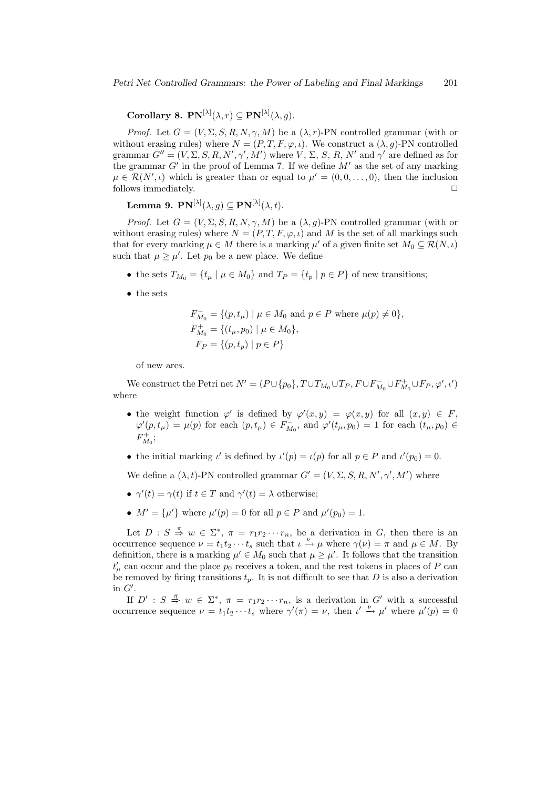Corollary 8.  $\text{PN}^{[\lambda]}(\lambda,r) \subseteq \text{PN}^{[\lambda]}(\lambda,g)$ .

*Proof.* Let  $G = (V, \Sigma, S, R, N, \gamma, M)$  be a  $(\lambda, r)$ -PN controlled grammar (with or without erasing rules) where  $N = (P, T, F, \varphi, \iota)$ . We construct a  $(\lambda, g)$ -PN controlled grammar  $G'' = (V, \Sigma, S, R, N', \gamma', M')$  where V,  $\Sigma, S, R, N'$  and  $\gamma'$  are defined as for the grammar  $G'$  in the proof of Lemma 7. If we define  $M'$  as the set of any marking  $\mu \in \mathcal{R}(N',\iota)$  which is greater than or equal to  $\mu' = (0,0,\ldots,0)$ , then the inclusion follows immediately.  $\hfill \Box$ 

Lemma 9.  $\mathbf{PN}^{[\lambda]}(\lambda,g)\subseteq \mathbf{PN}^{[\lambda]}(\lambda,t).$ 

*Proof.* Let  $G = (V, \Sigma, S, R, N, \gamma, M)$  be a  $(\lambda, g)$ -PN controlled grammar (with or without erasing rules) where  $N = (P, T, F, \varphi, \iota)$  and M is the set of all markings such that for every marking  $\mu \in M$  there is a marking  $\mu'$  of a given finite set  $M_0 \subseteq \mathcal{R}(N, \iota)$ such that  $\mu \geq \mu'$ . Let  $p_0$  be a new place. We define

- the sets  $T_{M_0} = \{t_\mu \mid \mu \in M_0\}$  and  $T_P = \{t_p \mid p \in P\}$  of new transitions;
- the sets

$$
F_{M_0}^- = \{ (p, t_\mu) \mid \mu \in M_0 \text{ and } p \in P \text{ where } \mu(p) \neq 0 \},
$$
  
\n
$$
F_{M_0}^+ = \{ (t_\mu, p_0) \mid \mu \in M_0 \},
$$
  
\n
$$
F_P = \{ (p, t_p) \mid p \in P \}
$$

of new arcs.

We construct the Petri net  $N' = (P \cup \{p_0\}, T \cup T_{M_0} \cup T_P, F \cup F_{M_0}^- \cup F_{M_0}^+ \cup F_P, \varphi', \iota')$ where

- the weight function  $\varphi'$  is defined by  $\varphi'(x,y) = \varphi(x,y)$  for all  $(x,y) \in F$ ,  $\varphi'(p, t_\mu) = \mu(p)$  for each  $(p, t_\mu) \in F_{M_0}^-$ , and  $\varphi'(t_\mu, p_0) = 1$  for each  $(t_\mu, p_0) \in$  $F_{M_0}^+$ ;
- the initial marking  $\iota'$  is defined by  $\iota'(p) = \iota(p)$  for all  $p \in P$  and  $\iota'(p_0) = 0$ .

We define a  $(\lambda, t)$ -PN controlled grammar  $G' = (V, \Sigma, S, R, N', \gamma', M')$  where

- $\gamma'(t) = \gamma(t)$  if  $t \in T$  and  $\gamma'(t) = \lambda$  otherwise;
- $M' = {\mu'}$  where  $\mu'(p) = 0$  for all  $p \in P$  and  $\mu'(p_0) = 1$ .

Let  $D: S \stackrel{\pi}{\Rightarrow} w \in \Sigma^*, \pi = r_1 r_2 \cdots r_n$ , be a derivation in G, then there is an occurrence sequence  $\nu = t_1 t_2 \cdots t_s$  such that  $\iota \xrightarrow{\nu} \mu$  where  $\gamma(\nu) = \pi$  and  $\mu \in M$ . By definition, there is a marking  $\mu' \in M_0$  such that  $\mu \geq \mu'$ . It follows that the transition  $t'_{\mu}$  can occur and the place  $p_0$  receives a token, and the rest tokens in places of P can be removed by firing transitions  $t_p$ . It is not difficult to see that D is also a derivation in  $G'$ .

If  $D' : S \stackrel{\pi}{\Rightarrow} w \in \Sigma^*, \pi = r_1r_2\cdots r_n$ , is a derivation in G' with a successful occurrence sequence  $\nu = t_1 t_2 \cdots t_s$  where  $\gamma'(\pi) = \nu$ , then  $\iota' \stackrel{\nu}{\rightarrow} \mu'$  where  $\mu'(p) = 0$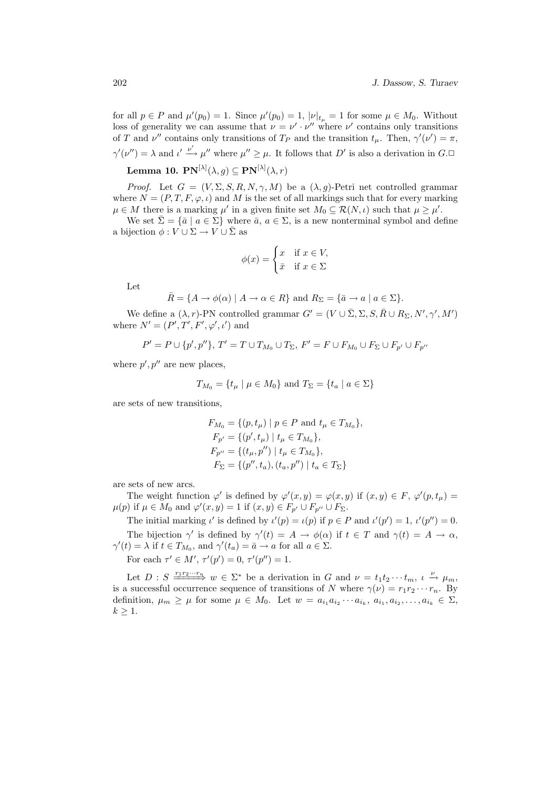for all  $p \in P$  and  $\mu'(p_0) = 1$ . Since  $\mu'(p_0) = 1$ ,  $|\nu|_{t_\mu} = 1$  for some  $\mu \in M_0$ . Without loss of generality we can assume that  $\nu = \nu' \cdot \nu''$  where  $\nu'$  contains only transitions of T and  $\nu''$  contains only transitions of T<sub>P</sub> and the transition  $t_{\mu}$ . Then,  $\gamma'(\nu') = \pi$ ,  $\gamma'(\nu'') = \lambda$  and  $\iota' \xrightarrow{\nu'} \mu''$  where  $\mu'' \geq \mu$ . It follows that D' is also a derivation in  $G$ . Lemma 10.  $\mathbf{PN}^{[\lambda]}(\lambda,g)\subseteq \mathbf{PN}^{[\lambda]}(\lambda,r)$ 

*Proof.* Let  $G = (V, \Sigma, S, R, N, \gamma, M)$  be a  $(\lambda, g)$ -Petri net controlled grammar where  $N = (P, T, F, \varphi, \iota)$  and M is the set of all markings such that for every marking  $\mu \in M$  there is a marking  $\mu'$  in a given finite set  $M_0 \subseteq \mathcal{R}(N, \iota)$  such that  $\mu \geq \mu'$ .

We set  $\bar{\Sigma} = \{\bar{a} \mid a \in \Sigma\}$  where  $\bar{a}, a \in \Sigma$ , is a new nonterminal symbol and define a bijection  $\phi: V \cup \Sigma \to V \cup \overline{\Sigma}$  as

$$
\phi(x) = \begin{cases} x & \text{if } x \in V, \\ \bar{x} & \text{if } x \in \Sigma \end{cases}
$$

Let

$$
\overline{R} = \{ A \to \phi(\alpha) \mid A \to \alpha \in R \} \text{ and } R_{\Sigma} = \{ \overline{a} \to a \mid a \in \Sigma \}.
$$

We define a  $(\lambda, r)$ -PN controlled grammar  $G' = (V \cup \overline{\Sigma}, \Sigma, S, R \cup R_{\Sigma}, N', \gamma', M')$ where  $N' = (P', T', F', \varphi', \iota')$  and

$$
P' = P \cup \{p', p''\}, T' = T \cup T_{M_0} \cup T_{\Sigma}, F' = F \cup F_{M_0} \cup F_{\Sigma} \cup F_{p'} \cup F_{p''}
$$

where  $p', p''$  are new places,

$$
T_{M_0} = \{ t_\mu \mid \mu \in M_0 \} \text{ and } T_\Sigma = \{ t_a \mid a \in \Sigma \}
$$

are sets of new transitions,

$$
F_{M_0} = \{ (p, t_\mu) \mid p \in P \text{ and } t_\mu \in T_{M_0} \},
$$
  
\n
$$
F_{p'} = \{ (p', t_\mu) \mid t_\mu \in T_{M_0} \},
$$
  
\n
$$
F_{p''} = \{ (t_\mu, p'') \mid t_\mu \in T_{M_0} \},
$$
  
\n
$$
F_{\Sigma} = \{ (p'', t_a), (t_a, p'') \mid t_a \in T_{\Sigma} \}
$$

are sets of new arcs.

The weight function  $\varphi'$  is defined by  $\varphi'(x,y) = \varphi(x,y)$  if  $(x,y) \in F$ ,  $\varphi'(p,t_\mu) =$  $\mu(p)$  if  $\mu \in M_0$  and  $\varphi'(x, y) = 1$  if  $(x, y) \in F_{p'} \cup F_{p''} \cup F_{\Sigma}$ .

The initial marking  $\iota'$  is defined by  $\iota'(p) = \iota(p)$  if  $p \in P$  and  $\iota'(p') = 1$ ,  $\iota'(p'') = 0$ . The bijection  $\gamma'$  is defined by  $\gamma'(t) = A \rightarrow \phi(\alpha)$  if  $t \in T$  and  $\gamma(t) = A \rightarrow \alpha$ ,  $\gamma'(t) = \lambda$  if  $t \in T_{M_0}$ , and  $\gamma'(t_a) = \bar{a} \to a$  for all  $a \in \Sigma$ .

For each  $\tau' \in M', \tau'(p') = 0, \tau'(p'') = 1.$ 

Let  $D: S \longrightarrow^{\frac{r_1 r_2 \cdots r_n}{\longrightarrow}} w \in \Sigma^*$  be a derivation in G and  $\nu = t_1 t_2 \cdots t_m$ ,  $\iota \overset{\nu}{\rightarrow} \mu_m$ , is a successful occurrence sequence of transitions of N where  $\gamma(\nu) = r_1 r_2 \cdots r_n$ . By definition,  $\mu_m \geq \mu$  for some  $\mu \in M_0$ . Let  $w = a_{i_1} a_{i_2} \cdots a_{i_k}$ ,  $a_{i_1}, a_{i_2}, \ldots, a_{i_k} \in \Sigma$ ,  $k \geq 1$ .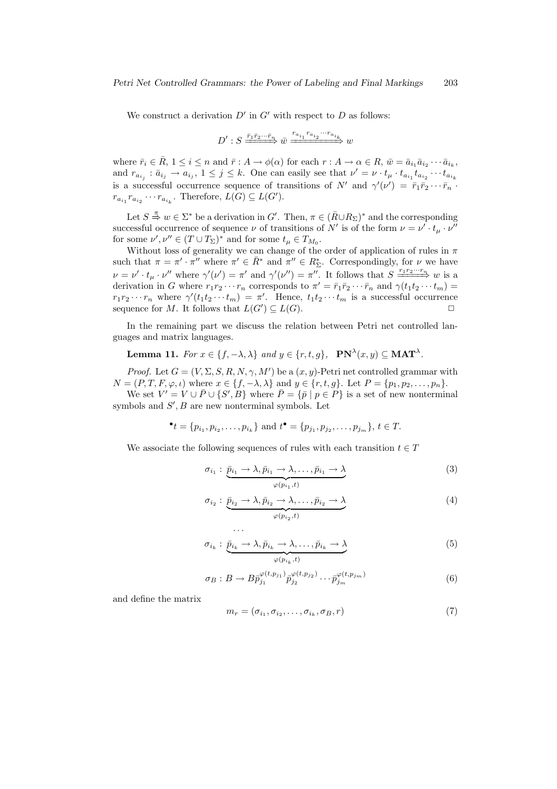We construct a derivation  $D'$  in  $G'$  with respect to  $D$  as follows:

$$
D': S \xrightarrow{\bar{r}_1 \bar{r}_2 \cdots \bar{r}_n} \bar{w} \xrightarrow{r_{a_{i_1}} r_{a_{i_2}} \cdots r_{a_{i_k}}}
$$

where  $\bar{r}_i \in \bar{R}$ ,  $1 \leq i \leq n$  and  $\bar{r} : A \to \phi(\alpha)$  for each  $r : A \to \alpha \in R$ ,  $\bar{w} = \bar{a}_{i_1} \bar{a}_{i_2} \cdots \bar{a}_{i_k}$ , and  $r_{a_{i_j}} : \bar{a}_{i_j} \to a_{i_j}, 1 \leq j \leq k$ . One can easily see that  $\nu' = \nu \cdot t_\mu \cdot t_{a_{i_1}} t_{a_{i_2}} \cdots t_{a_{i_k}}$ is a successful occurrence sequence of transitions of  $N'$  and  $\gamma'(\nu') = \bar{r}_1 \bar{r}_2 \cdots \bar{r}_n$ .  $r_{a_{i_1}} r_{a_{i_2}} \cdots r_{a_{i_k}}$ . Therefore,  $L(G) \subseteq L(G')$ .

Let  $S \stackrel{\pi}{\Rightarrow} w \in \Sigma^*$  be a derivation in  $G'$ . Then,  $\pi \in (\overline{R} \cup R_{\Sigma})^*$  and the corresponding successful occurrence of sequence  $\nu$  of transitions of N' is of the form  $\nu = \nu' \cdot t_{\mu} \cdot \nu''$ for some  $\nu', \nu'' \in (T \cup T_{\Sigma})^*$  and for some  $t_{\mu} \in T_{M_0}$ .

Without loss of generality we can change of the order of application of rules in  $\pi$ such that  $\pi = \pi' \cdot \pi''$  where  $\pi' \in \bar{R}^*$  and  $\pi'' \in R^*_{\Sigma}$ . Correspondingly, for  $\nu$  we have  $\nu = \nu' \cdot t_\mu \cdot \nu''$  where  $\gamma'(\nu') = \pi'$  and  $\gamma'(\nu'') = \pi''$ . It follows that  $S \xrightarrow{r_1 r_2 \cdots r_n} w$  is a derivation in G where  $r_1r_2\cdots r_n$  corresponds to  $\pi' = \bar{r}_1\bar{r}_2\cdots \bar{r}_n$  and  $\gamma(t_1t_2\cdots t_m)$  $r_1r_2\cdots r_n$  where  $\gamma'(t_1t_2\cdots t_m) = \pi'$ . Hence,  $t_1t_2\cdots t_m$  is a successful occurrence sequence for M. It follows that  $L(G') \subseteq L(G)$ .

In the remaining part we discuss the relation between Petri net controlled languages and matrix languages.

**Lemma 11.** For  $x \in \{f, -\lambda, \lambda\}$  and  $y \in \{r, t, g\}$ ,  $\mathbf{PN}^{\lambda}(x, y) \subseteq \mathbf{MAT}^{\lambda}$ .

*Proof.* Let  $G = (V, \Sigma, S, R, N, \gamma, M')$  be a  $(x, y)$ -Petri net controlled grammar with  $N = (P, T, F, \varphi, \iota)$  where  $x \in \{f, -\lambda, \lambda\}$  and  $y \in \{r, t, g\}$ . Let  $P = \{p_1, p_2, \ldots, p_n\}$ .

We set  $V' = V \cup \overline{P} \cup \{S', B\}$  where  $\overline{P} = {\overline{p} \mid p \in P}$  is a set of new nonterminal symbols and  $S'$ ,  $B$  are new nonterminal symbols. Let

$$
\bullet t = \{p_{i_1}, p_{i_2}, \dots, p_{i_k}\} \text{ and } t \bullet = \{p_{j_1}, p_{j_2}, \dots, p_{j_m}\}, t \in T.
$$

We associate the following sequences of rules with each transition  $t \in T$ 

· · ·

$$
\sigma_{i_1} : \underbrace{\bar{p}_{i_1} \to \lambda, \bar{p}_{i_1} \to \lambda, \dots, \bar{p}_{i_1} \to \lambda}_{\varphi(p_{i_1}, t)} \tag{3}
$$

$$
\sigma_{i_2}: \underbrace{\bar{p}_{i_2} \to \lambda, \bar{p}_{i_2} \to \lambda, \dots, \bar{p}_{i_2} \to \lambda}_{\varphi(p_{i_2}, t)} \tag{4}
$$

$$
\sigma_{i_k} : \underbrace{\bar{p}_{i_k} \to \lambda, \bar{p}_{i_k} \to \lambda, \dots, \bar{p}_{i_k} \to \lambda}_{\varphi(p_{i_k}, t)} \tag{5}
$$

$$
\sigma_B: B \to B\bar{p}_{j_1}^{\varphi(t,p_{j_1})}\bar{p}_{j_2}^{\varphi(t,p_{j_2})}\cdots\bar{p}_{j_m}^{\varphi(t,p_{j_m})}
$$
\n
$$
\tag{6}
$$

and define the matrix

$$
m_r = (\sigma_{i_1}, \sigma_{i_2}, \dots, \sigma_{i_k}, \sigma_B, r) \tag{7}
$$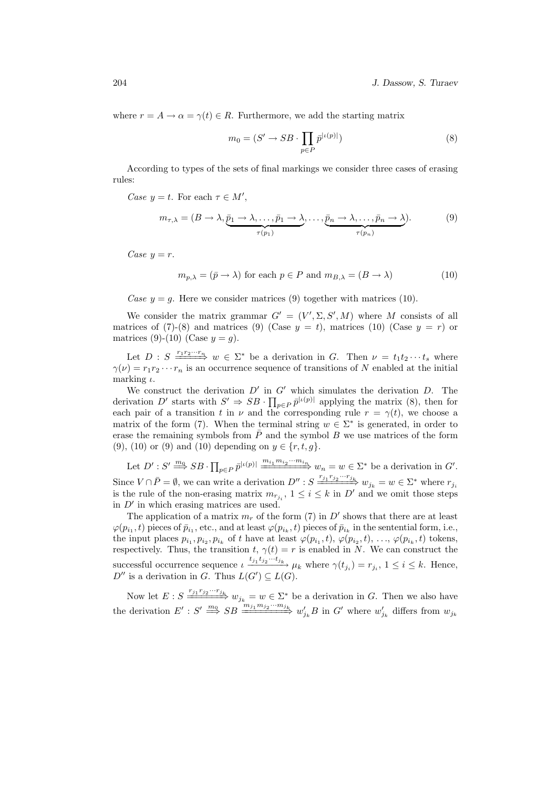where  $r = A \rightarrow \alpha = \gamma(t) \in R$ . Furthermore, we add the starting matrix

$$
m_0 = (S' \to SB \cdot \prod_{p \in P} \bar{p}^{|\iota(p)|})
$$
\n(8)

According to types of the sets of final markings we consider three cases of erasing rules:

Case  $y = t$ . For each  $\tau \in M'$ ,

$$
m_{\tau,\lambda} = (B \to \lambda, \underbrace{\bar{p}_1 \to \lambda, \dots, \bar{p}_1 \to \lambda}_{\tau(p_1)}, \dots, \underbrace{\bar{p}_n \to \lambda, \dots, \bar{p}_n \to \lambda}_{\tau(p_n)}).
$$
(9)

Case  $y = r$ .

$$
m_{p,\lambda} = (\bar{p} \to \lambda) \text{ for each } p \in P \text{ and } m_{B,\lambda} = (B \to \lambda)
$$
 (10)

Case  $y = g$ . Here we consider matrices (9) together with matrices (10).

We consider the matrix grammar  $G' = (V', \Sigma, S', M)$  where M consists of all matrices of (7)-(8) and matrices (9) (Case  $y = t$ ), matrices (10) (Case  $y = r$ ) or matrices (9)-(10) (Case  $y = g$ ).

Let  $D : S \longrightarrow^{\{r_1, r_2, \dots, r_n\}} w \in \Sigma^*$  be a derivation in G. Then  $\nu = t_1 t_2 \cdots t_s$  where  $\gamma(\nu) = r_1 r_2 \cdots r_n$  is an occurrence sequence of transitions of N enabled at the initial marking  $\iota$ .

We construct the derivation  $D'$  in  $G'$  which simulates the derivation  $D$ . The we construct the derivation  $D'$  in<br>derivation  $D'$  starts with  $S' \Rightarrow SB \cdot \Pi$  $_{p\in P} \bar{p}^{|\iota(p)|}$  applying the matrix (8), then for each pair of a transition t in  $\nu$  and the corresponding rule  $r = \gamma(t)$ , we choose a matrix of the form (7). When the terminal string  $w \in \Sigma^*$  is generated, in order to erase the remaining symbols from  $\overline{P}$  and the symbol B we use matrices of the form (9), (10) or (9) and (10) depending on  $y \in \{r, t, g\}.$ 

Let  $D': S' \stackrel{m_0}{\Longrightarrow} SB \cdot \prod$  $p \in P \overline{p}^{|\iota(p)|} \xrightarrow{m_{i_1} m_{i_2} \cdots m_{i_n}} w_n = w \in \Sigma^*$  be a derivation in G'. Since  $V \cap \overline{P} = \emptyset$ , we can write a derivation  $D'' : S \longrightarrow_{i=1}^{r_{j_1} r_{j_2} \cdots r_{j_k}} w_{j_k} = w \in \Sigma^*$  where  $r_{j_i}$ is the rule of the non-erasing matrix  $m_{r_{j_i}}$ ,  $1 \leq i \leq k$  in  $D'$  and we omit those steps in  $D'$  in which erasing matrices are used.

The application of a matrix  $m_r$  of the form (7) in D' shows that there are at least  $\varphi(p_{i_1}, t)$  pieces of  $\bar{p}_{i_1}$ , etc., and at least  $\varphi(p_{i_k}, t)$  pieces of  $\bar{p}_{i_k}$  in the sentential form, i.e., the input places  $p_{i_1}, p_{i_2}, p_{i_k}$  of t have at least  $\varphi(p_{i_1}, t), \varphi(p_{i_2}, t), \ldots, \varphi(p_{i_k}, t)$  tokens, respectively. Thus, the transition t,  $\gamma(t) = r$  is enabled in N. We can construct the successful occurrence sequence  $\iota \frac{t_{j_1} t_{j_2} \cdots t_{j_k}}{\mu_k}$  where  $\gamma(t_{j_i}) = r_{j_i}$ ,  $1 \leq i \leq k$ . Hence,  $D''$  is a derivation in G. Thus  $L(G') \subseteq L(G)$ .

Now let  $E: S \longrightarrow T_{j_1} \longrightarrow T_{j_k}$   $w_{j_k} = w \in \Sigma^*$  be a derivation in G. Then we also have the derivation  $E' : S' \stackrel{m_0}{\Longrightarrow} SB \stackrel{m_{j_1}m_{j_2}\cdots m_{j_k}}{\Longrightarrow} w'_{j_k}B$  in G' where  $w'_{j_k}$  differs from  $w_{j_k}$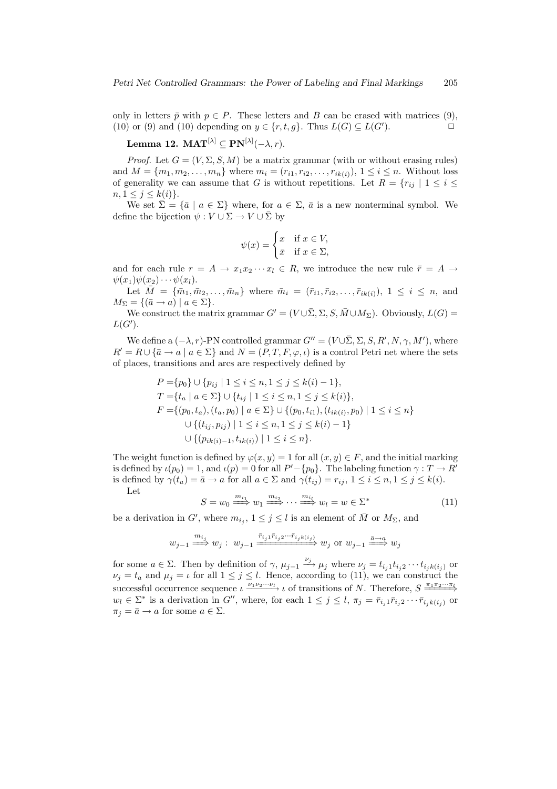only in letters  $\bar{p}$  with  $p \in P$ . These letters and B can be erased with matrices (9), (10) or (9) and (10) depending on  $y \in \{r, t, g\}$ . Thus  $L(G) \subseteq L(G')$ . ).  $\qquad \qquad \Box$ 

$$
\textbf{Lemma 12. } \mathbf{MAT}^{[\lambda]} \subseteq \mathbf{PN}^{[\lambda]}(-\lambda,r).
$$

*Proof.* Let  $G = (V, \Sigma, S, M)$  be a matrix grammar (with or without erasing rules) and  $M = \{m_1, m_2, \ldots, m_n\}$  where  $m_i = (r_{i1}, r_{i2}, \ldots, r_{ik(i)}), 1 \le i \le n$ . Without loss of generality we can assume that G is without repetitions. Let  $R = \{r_{ij} | 1 \leq i \leq j\}$  $n, 1 \leq j \leq k(i)$ .

We set  $\bar{\Sigma} = {\bar{a} \mid a \in \Sigma}$  where, for  $a \in \Sigma$ ,  $\bar{a}$  is a new nonterminal symbol. We define the bijection  $\psi : V \cup \Sigma \to V \cup \overline{\Sigma}$  by

$$
\psi(x) = \begin{cases} x & \text{if } x \in V, \\ \bar{x} & \text{if } x \in \Sigma, \end{cases}
$$

and for each rule  $r = A \rightarrow x_1 x_2 \cdots x_l \in R$ , we introduce the new rule  $\bar{r} = A \rightarrow$  $\psi(x_1)\psi(x_2)\cdots\psi(x_l).$ 

Let  $\bar{M} = \{\bar{m}_1, \bar{m}_2, \ldots, \bar{m}_n\}$  where  $\bar{m}_i = (\bar{r}_{i1}, \bar{r}_{i2}, \ldots, \bar{r}_{ik(i)}), 1 \leq i \leq n$ , and  $M_{\Sigma} = \{(\bar{a} \rightarrow a) \mid a \in \Sigma\}.$ 

We construct the matrix grammar  $G' = (V \cup \overline{\Sigma}, \Sigma, S, \overline{M} \cup M_{\Sigma})$ . Obviously,  $L(G)$  $L(G')$ .

We define a  $(-\lambda, r)$ -PN controlled grammar  $G'' = (V \cup \overline{\Sigma}, \Sigma, S, R', N, \gamma, M')$ , where  $R' = R \cup {\bar{a} \to a \mid a \in \Sigma}$  and  $N = (P, T, F, \varphi, \iota)$  is a control Petri net where the sets of places, transitions and arcs are respectively defined by

$$
P = \{p_0\} \cup \{p_{ij} \mid 1 \le i \le n, 1 \le j \le k(i) - 1\},
$$
  
\n
$$
T = \{t_a \mid a \in \Sigma\} \cup \{t_{ij} \mid 1 \le i \le n, 1 \le j \le k(i)\},
$$
  
\n
$$
F = \{(p_0, t_a), (t_a, p_0) \mid a \in \Sigma\} \cup \{(p_0, t_{i1}), (t_{ik(i)}, p_0) \mid 1 \le i \le n\}
$$
  
\n
$$
\cup \{(t_{ij}, p_{ij}) \mid 1 \le i \le n, 1 \le j \le k(i) - 1\}
$$
  
\n
$$
\cup \{(p_{ik(i)-1}, t_{ik(i)}) \mid 1 \le i \le n\}.
$$

The weight function is defined by  $\varphi(x, y) = 1$  for all  $(x, y) \in F$ , and the initial marking is defined by  $\iota(p_0) = 1$ , and  $\iota(p) = 0$  for all  $P' - \{p_0\}$ . The labeling function  $\gamma : T \to R'$ is defined by  $\gamma(t_a) = \bar{a} \rightarrow a$  for all  $a \in \Sigma$  and  $\gamma(t_{ij}) = r_{ij}, 1 \le i \le n, 1 \le j \le k(i)$ . Let

$$
S = w_0 \stackrel{m_{i_1}}{\Longrightarrow} w_1 \stackrel{m_{i_2}}{\Longrightarrow} \cdots \stackrel{m_{i_l}}{\Longrightarrow} w_l = w \in \Sigma^*
$$
(11)

be a derivation in G', where  $m_{i_j}$ ,  $1 \leq j \leq l$  is an element of  $\overline{M}$  or  $M_{\Sigma}$ , and

$$
w_{j-1} \stackrel{m_{i_j}}{\Longrightarrow} w_j: \ w_{j-1} \stackrel{\bar{r}_{i_j1}\bar{r}_{i_j2}\cdots \bar{r}_{i_jk(i_j)}}{\longrightarrow} w_j \ \text{or} \ w_{j-1} \stackrel{\bar{a}\to a}{\Longrightarrow} w_j
$$

for some  $a \in \Sigma$ . Then by definition of  $\gamma$ ,  $\mu_{j-1} \stackrel{\nu_j}{\longrightarrow} \mu_j$  where  $\nu_j = t_{i_j} t_{i_j 2} \cdots t_{i_j k(i_j)}$  or  $\nu_j = t_a$  and  $\mu_j = \iota$  for all  $1 \leq j \leq l$ . Hence, according to (11), we can construct the successful occurrence sequence  $\iota \xrightarrow{\nu_1 \nu_2 \cdots \nu_l} \iota$  of transitions of N. Therefore,  $S \xrightarrow{\pi_1 \pi_2 \cdots \pi_l}$  $w_l \in \Sigma^*$  is a derivation in  $G''$ , where, for each  $1 \leq j \leq l$ ,  $\pi_j = \bar{r}_{i_j 1} \bar{r}_{i_j 2} \cdots \bar{r}_{i_j k(i_j)}$  or  $\pi_i = \bar{a} \rightarrow a$  for some  $a \in \Sigma$ .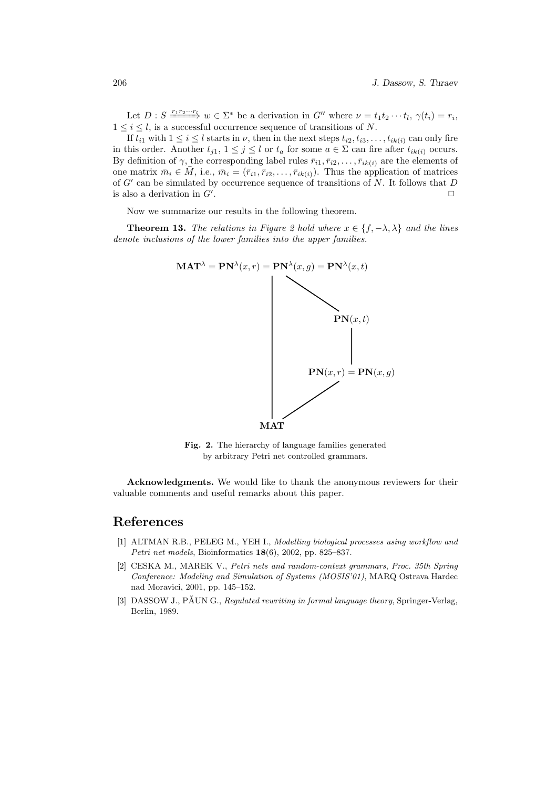Let  $D: S \xrightarrow{r_1 r_2 \cdots r_l} w \in \Sigma^*$  be a derivation in  $G''$  where  $\nu = t_1 t_2 \cdots t_l$ ,  $\gamma(t_i) = r_i$ ,  $1 \leq i \leq l$ , is a successful occurrence sequence of transitions of N.

If  $t_{i1}$  with  $1 \leq i \leq l$  starts in  $\nu$ , then in the next steps  $t_{i2}, t_{i3}, \ldots, t_{ik(i)}$  can only fire in this order. Another  $t_{j1}$ ,  $1 \leq j \leq l$  or  $t_a$  for some  $a \in \Sigma$  can fire after  $t_{ik(i)}$  occurs. By definition of  $\gamma$ , the corresponding label rules  $\bar{r}_{i1}, \bar{r}_{i2}, \ldots, \bar{r}_{ik(i)}$  are the elements of one matrix  $\bar{m}_i \in \bar{M}$ , i.e.,  $\bar{m}_i = (\bar{r}_{i1}, \bar{r}_{i2}, \dots, \bar{r}_{ik(i)})$ . Thus the application of matrices of  $G'$  can be simulated by occurrence sequence of transitions of N. It follows that D is also a derivation in  $G'$ . . The contract of the contract of the contract of  $\Box$ 

Now we summarize our results in the following theorem.

**Theorem 13.** The relations in Figure 2 hold where  $x \in \{f, -\lambda, \lambda\}$  and the lines denote inclusions of the lower families into the upper families.



Fig. 2. The hierarchy of language families generated by arbitrary Petri net controlled grammars.

Acknowledgments. We would like to thank the anonymous reviewers for their valuable comments and useful remarks about this paper.

# References

- [1] ALTMAN R.B., PELEG M., YEH I., Modelling biological processes using workflow and Petri net models, Bioinformatics 18(6), 2002, pp. 825–837.
- [2] CESKA M., MAREK V., Petri nets and random-context grammars, Proc. 35th Spring Conference: Modeling and Simulation of Systems (MOSIS'01), MARQ Ostrava Hardec nad Moravici, 2001, pp. 145–152.
- [3] DASSOW J., PĂUN G., Regulated rewriting in formal language theory, Springer-Verlag, Berlin, 1989.